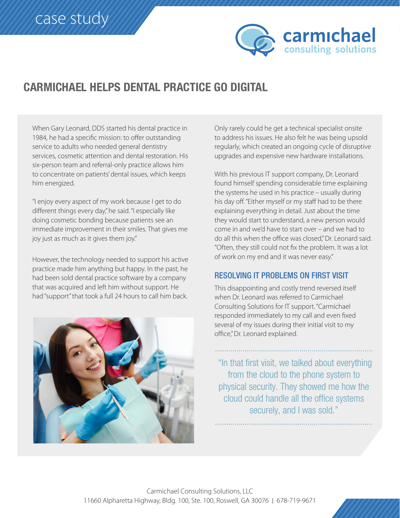

## **CARMICHAEL HELPS DENTAL PRACTICE GO DIGITAL**

When Gary Leonard, DDS started his dental practice in 1984, he had a specific mission: to offer outstanding service to adults who needed general dentistry services, cosmetic attention and dental restoration. His six-person team and referral-only practice allows him to concentrate on patients' dental issues, which keeps him energized.

"I enjoy every aspect of my work because I get to do different things every day," he said. "I especially like doing cosmetic bonding because patients see an immediate improvement in their smiles. That gives me joy just as much as it gives them joy."

However, the technology needed to support his active practice made him anything but happy. In the past, he had been sold dental practice software by a company that was acquired and left him without support. He had "support" that took a full 24 hours to call him back.



Only rarely could he get a technical specialist onsite to address his issues. He also felt he was being upsold regularly, which created an ongoing cycle of disruptive upgrades and expensive new hardware installations.

With his previous IT support company, Dr. Leonard found himself spending considerable time explaining the systems he used in his practice  $-$  usually during his day off. "Either myself or my staff had to be there explaining everything in detail. Just about the time they would start to understand, a new person would come in and we'd have to start over – and we had to do all this when the office was closed," Dr. Leonard said. "Often, they still could not fix the problem. It was a lot of work on my end and it was never easy."

## **RESOLVING IT PROBLEMS ON FIRST VISIT**

This disappointing and costly trend reversed itself when Dr. Leonard was referred to Carmichael Consulting Solutions for IT support. "Carmichael responded immediately to my call and even fixed several of my issues during their initial visit to my office," Dr. Leonard explained.

"In that first visit, we talked about everything from the cloud to the phone system to physical security. They showed me how the cloud could handle all the office systems securely, and I was sold."